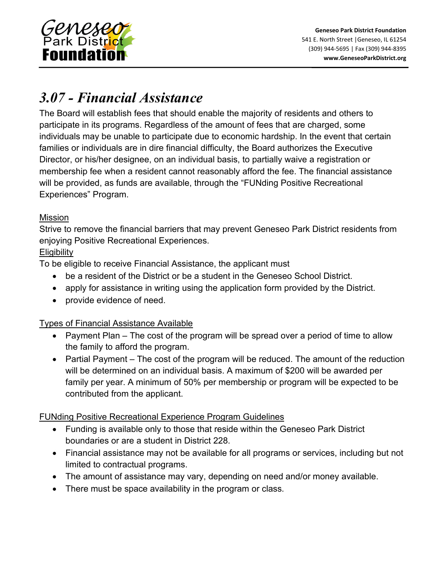

# *3.07 - Financial Assistance*

The Board will establish fees that should enable the majority of residents and others to participate in its programs. Regardless of the amount of fees that are charged, some individuals may be unable to participate due to economic hardship. In the event that certain families or individuals are in dire financial difficulty, the Board authorizes the Executive Director, or his/her designee, on an individual basis, to partially waive a registration or membership fee when a resident cannot reasonably afford the fee. The financial assistance will be provided, as funds are available, through the "FUNding Positive Recreational Experiences" Program.

## Mission

Strive to remove the financial barriers that may prevent Geneseo Park District residents from enjoying Positive Recreational Experiences.

## **Eligibility**

To be eligible to receive Financial Assistance, the applicant must

- be a resident of the District or be a student in the Geneseo School District.
- apply for assistance in writing using the application form provided by the District.
- provide evidence of need.

#### Types of Financial Assistance Available

- Payment Plan The cost of the program will be spread over a period of time to allow the family to afford the program.
- Partial Payment The cost of the program will be reduced. The amount of the reduction will be determined on an individual basis. A maximum of \$200 will be awarded per family per year. A minimum of 50% per membership or program will be expected to be contributed from the applicant.

# FUNding Positive Recreational Experience Program Guidelines

- Funding is available only to those that reside within the Geneseo Park District boundaries or are a student in District 228.
- Financial assistance may not be available for all programs or services, including but not limited to contractual programs.
- The amount of assistance may vary, depending on need and/or money available.
- There must be space availability in the program or class.